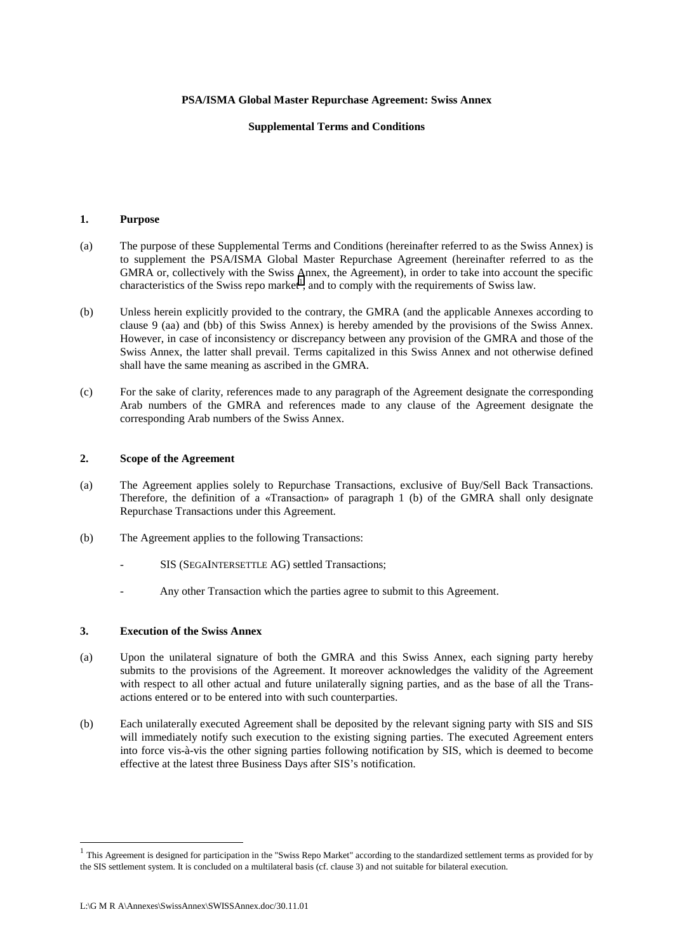### **PSA/ISMA Global Master Repurchase Agreement: Swiss Annex**

# **Supplemental Terms and Conditions**

# **1. Purpose**

- (a) The purpose of these Supplemental Terms and Conditions (hereinafter referred to as the Swiss Annex) is to supplement the PSA/ISMA Global Master Repurchase Agreement (hereinafter referred to as the GMRA or, collectively with the Swiss Annex, the Agreement), in order to take into account the specific characteristics of the Swiss repo market<sup>1</sup>, and to comply with the requirements of Swiss law.
- (b) Unless herein explicitly provided to the contrary, the GMRA (and the applicable Annexes according to clause 9 (aa) and (bb) of this Swiss Annex) is hereby amended by the provisions of the Swiss Annex. However, in case of inconsistency or discrepancy between any provision of the GMRA and those of the Swiss Annex, the latter shall prevail. Terms capitalized in this Swiss Annex and not otherwise defined shall have the same meaning as ascribed in the GMRA.
- (c) For the sake of clarity, references made to any paragraph of the Agreement designate the corresponding Arab numbers of the GMRA and references made to any clause of the Agreement designate the corresponding Arab numbers of the Swiss Annex.

### **2. Scope of the Agreement**

- (a) The Agreement applies solely to Repurchase Transactions, exclusive of Buy/Sell Back Transactions. Therefore, the definition of a «Transaction» of paragraph 1 (b) of the GMRA shall only designate Repurchase Transactions under this Agreement.
- (b) The Agreement applies to the following Transactions:
	- SIS (SEGAINTERSETTLE AG) settled Transactions;
	- Any other Transaction which the parties agree to submit to this Agreement.

### **3. Execution of the Swiss Annex**

- (a) Upon the unilateral signature of both the GMRA and this Swiss Annex, each signing party hereby submits to the provisions of the Agreement. It moreover acknowledges the validity of the Agreement with respect to all other actual and future unilaterally signing parties, and as the base of all the Transactions entered or to be entered into with such counterparties.
- (b) Each unilaterally executed Agreement shall be deposited by the relevant signing party with SIS and SIS will immediately notify such execution to the existing signing parties. The executed Agreement enters into force vis-à-vis the other signing parties following notification by SIS, which is deemed to become effective at the latest three Business Days after SIS's notification.

l

 $1$  This Agreement is designed for participation in the "Swiss Repo Market" according to the standardized settlement terms as provided for by the SIS settlement system. It is concluded on a multilateral basis (cf. clause 3) and not suitable for bilateral execution.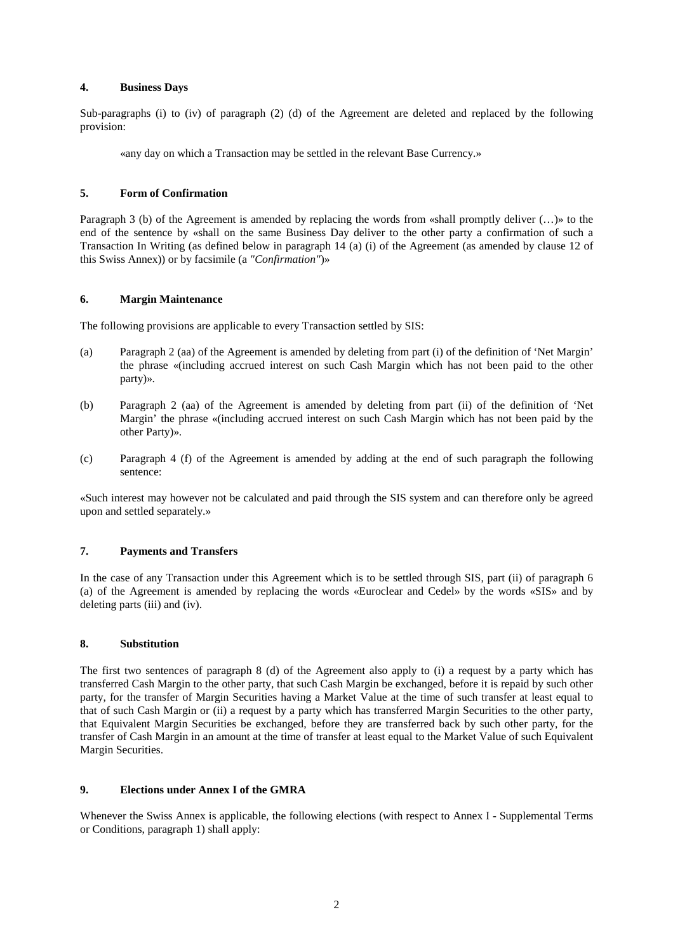# **4. Business Days**

Sub-paragraphs (i) to (iv) of paragraph (2) (d) of the Agreement are deleted and replaced by the following provision:

«any day on which a Transaction may be settled in the relevant Base Currency.»

# **5. Form of Confirmation**

Paragraph 3 (b) of the Agreement is amended by replacing the words from «shall promptly deliver (...)» to the end of the sentence by «shall on the same Business Day deliver to the other party a confirmation of such a Transaction In Writing (as defined below in paragraph 14 (a) (i) of the Agreement (as amended by clause 12 of this Swiss Annex)) or by facsimile (a *"Confirmation"*)»

### **6. Margin Maintenance**

The following provisions are applicable to every Transaction settled by SIS:

- (a) Paragraph 2 (aa) of the Agreement is amended by deleting from part (i) of the definition of 'Net Margin' the phrase «(including accrued interest on such Cash Margin which has not been paid to the other party)».
- (b) Paragraph 2 (aa) of the Agreement is amended by deleting from part (ii) of the definition of 'Net Margin' the phrase «(including accrued interest on such Cash Margin which has not been paid by the other Party)».
- (c) Paragraph 4 (f) of the Agreement is amended by adding at the end of such paragraph the following sentence:

«Such interest may however not be calculated and paid through the SIS system and can therefore only be agreed upon and settled separately.»

# **7. Payments and Transfers**

In the case of any Transaction under this Agreement which is to be settled through SIS, part (ii) of paragraph 6 (a) of the Agreement is amended by replacing the words «Euroclear and Cedel» by the words «SIS» and by deleting parts (iii) and (iv).

### **8. Substitution**

The first two sentences of paragraph 8 (d) of the Agreement also apply to (i) a request by a party which has transferred Cash Margin to the other party, that such Cash Margin be exchanged, before it is repaid by such other party, for the transfer of Margin Securities having a Market Value at the time of such transfer at least equal to that of such Cash Margin or (ii) a request by a party which has transferred Margin Securities to the other party, that Equivalent Margin Securities be exchanged, before they are transferred back by such other party, for the transfer of Cash Margin in an amount at the time of transfer at least equal to the Market Value of such Equivalent Margin Securities.

# **9. Elections under Annex I of the GMRA**

Whenever the Swiss Annex is applicable, the following elections (with respect to Annex I - Supplemental Terms or Conditions, paragraph 1) shall apply: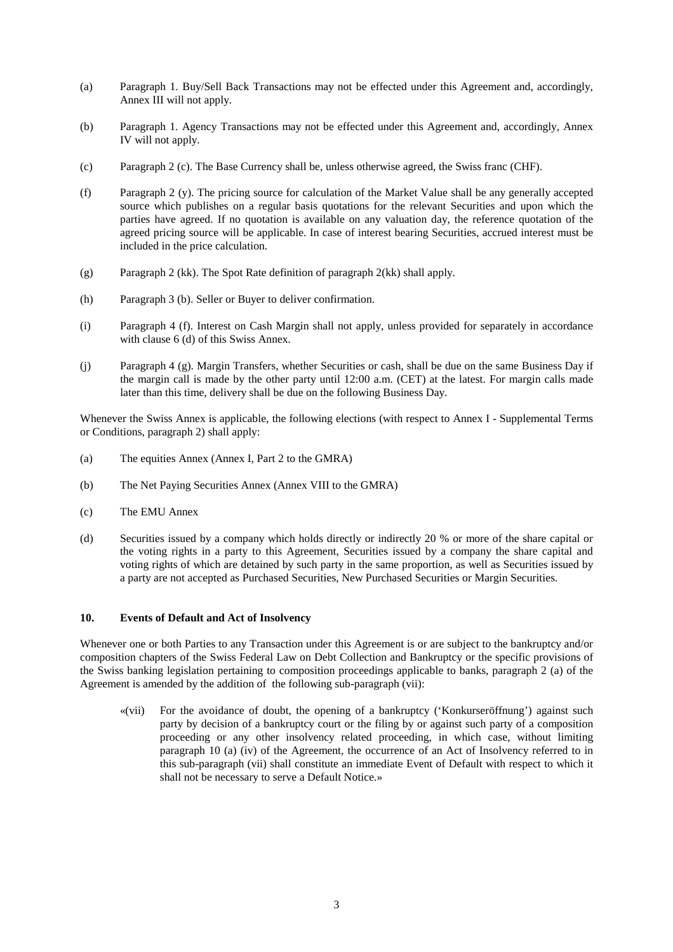- (a) Paragraph 1. Buy/Sell Back Transactions may not be effected under this Agreement and, accordingly, Annex III will not apply.
- (b) Paragraph 1. Agency Transactions may not be effected under this Agreement and, accordingly, Annex IV will not apply.
- (c) Paragraph 2 (c). The Base Currency shall be, unless otherwise agreed, the Swiss franc (CHF).
- (f) Paragraph 2 (y). The pricing source for calculation of the Market Value shall be any generally accepted source which publishes on a regular basis quotations for the relevant Securities and upon which the parties have agreed. If no quotation is available on any valuation day, the reference quotation of the agreed pricing source will be applicable. In case of interest bearing Securities, accrued interest must be included in the price calculation.
- (g) Paragraph 2 (kk). The Spot Rate definition of paragraph 2(kk) shall apply.
- (h) Paragraph 3 (b). Seller or Buyer to deliver confirmation.
- (i) Paragraph 4 (f). Interest on Cash Margin shall not apply, unless provided for separately in accordance with clause 6 (d) of this Swiss Annex.
- (j) Paragraph 4 (g). Margin Transfers, whether Securities or cash, shall be due on the same Business Day if the margin call is made by the other party until 12:00 a.m. (CET) at the latest. For margin calls made later than this time, delivery shall be due on the following Business Day.

Whenever the Swiss Annex is applicable, the following elections (with respect to Annex I - Supplemental Terms or Conditions, paragraph 2) shall apply:

- (a) The equities Annex (Annex I, Part 2 to the GMRA)
- (b) The Net Paying Securities Annex (Annex VIII to the GMRA)
- (c) The EMU Annex
- (d) Securities issued by a company which holds directly or indirectly 20 % or more of the share capital or the voting rights in a party to this Agreement, Securities issued by a company the share capital and voting rights of which are detained by such party in the same proportion, as well as Securities issued by a party are not accepted as Purchased Securities, New Purchased Securities or Margin Securities.

# **10. Events of Default and Act of Insolvency**

Whenever one or both Parties to any Transaction under this Agreement is or are subject to the bankruptcy and/or composition chapters of the Swiss Federal Law on Debt Collection and Bankruptcy or the specific provisions of the Swiss banking legislation pertaining to composition proceedings applicable to banks, paragraph 2 (a) of the Agreement is amended by the addition of the following sub-paragraph (vii):

«(vii) For the avoidance of doubt, the opening of a bankruptcy ('Konkurseröffnung') against such party by decision of a bankruptcy court or the filing by or against such party of a composition proceeding or any other insolvency related proceeding, in which case, without limiting paragraph 10 (a) (iv) of the Agreement, the occurrence of an Act of Insolvency referred to in this sub-paragraph (vii) shall constitute an immediate Event of Default with respect to which it shall not be necessary to serve a Default Notice.»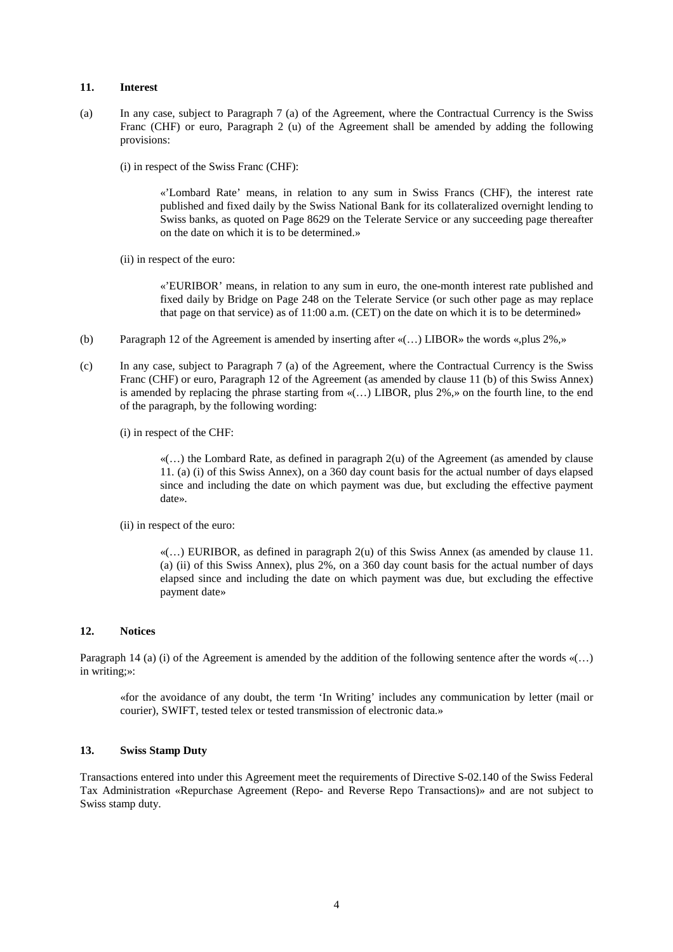### **11. Interest**

- (a) In any case, subject to Paragraph 7 (a) of the Agreement, where the Contractual Currency is the Swiss Franc (CHF) or euro, Paragraph 2 (u) of the Agreement shall be amended by adding the following provisions:
	- (i) in respect of the Swiss Franc (CHF):

«'Lombard Rate' means, in relation to any sum in Swiss Francs (CHF), the interest rate published and fixed daily by the Swiss National Bank for its collateralized overnight lending to Swiss banks, as quoted on Page 8629 on the Telerate Service or any succeeding page thereafter on the date on which it is to be determined.»

(ii) in respect of the euro:

«'EURIBOR' means, in relation to any sum in euro, the one-month interest rate published and fixed daily by Bridge on Page 248 on the Telerate Service (or such other page as may replace that page on that service) as of 11:00 a.m. (CET) on the date on which it is to be determined»

- (b) Paragraph 12 of the Agreement is amended by inserting after «(…) LIBOR» the words «,plus 2%,»
- (c) In any case, subject to Paragraph 7 (a) of the Agreement, where the Contractual Currency is the Swiss Franc (CHF) or euro, Paragraph 12 of the Agreement (as amended by clause 11 (b) of this Swiss Annex) is amended by replacing the phrase starting from  $\mathcal{L}(\ldots)$  LIBOR, plus 2%, » on the fourth line, to the end of the paragraph, by the following wording:
	- (i) in respect of the CHF:

 $\mathcal{A}(\ldots)$  the Lombard Rate, as defined in paragraph 2(u) of the Agreement (as amended by clause 11. (a) (i) of this Swiss Annex), on a 360 day count basis for the actual number of days elapsed since and including the date on which payment was due, but excluding the effective payment date».

(ii) in respect of the euro:

 $\mathcal{A}(\ldots)$  EURIBOR, as defined in paragraph 2(u) of this Swiss Annex (as amended by clause 11. (a) (ii) of this Swiss Annex), plus 2%, on a 360 day count basis for the actual number of days elapsed since and including the date on which payment was due, but excluding the effective payment date»

#### **12. Notices**

Paragraph 14 (a) (i) of the Agreement is amended by the addition of the following sentence after the words «(...) in writing;»:

«for the avoidance of any doubt, the term 'In Writing' includes any communication by letter (mail or courier), SWIFT, tested telex or tested transmission of electronic data.»

# **13. Swiss Stamp Duty**

Transactions entered into under this Agreement meet the requirements of Directive S-02.140 of the Swiss Federal Tax Administration «Repurchase Agreement (Repo- and Reverse Repo Transactions)» and are not subject to Swiss stamp duty.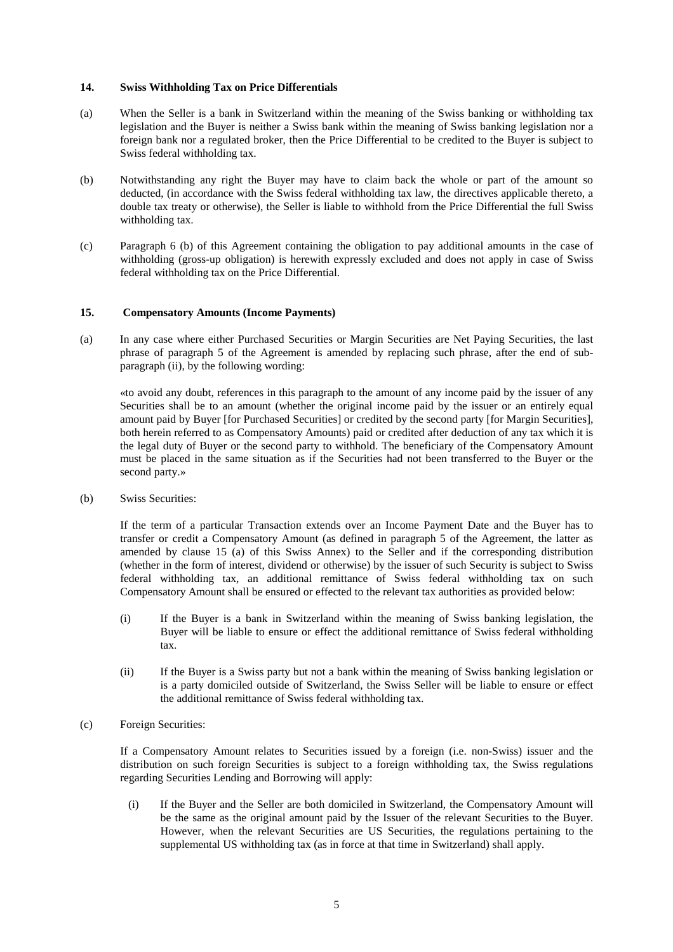### **14. Swiss Withholding Tax on Price Differentials**

- (a) When the Seller is a bank in Switzerland within the meaning of the Swiss banking or withholding tax legislation and the Buyer is neither a Swiss bank within the meaning of Swiss banking legislation nor a foreign bank nor a regulated broker, then the Price Differential to be credited to the Buyer is subject to Swiss federal withholding tax.
- (b) Notwithstanding any right the Buyer may have to claim back the whole or part of the amount so deducted, (in accordance with the Swiss federal withholding tax law, the directives applicable thereto, a double tax treaty or otherwise), the Seller is liable to withhold from the Price Differential the full Swiss withholding tax.
- (c) Paragraph 6 (b) of this Agreement containing the obligation to pay additional amounts in the case of withholding (gross-up obligation) is herewith expressly excluded and does not apply in case of Swiss federal withholding tax on the Price Differential.

# **15. Compensatory Amounts (Income Payments)**

(a) In any case where either Purchased Securities or Margin Securities are Net Paying Securities, the last phrase of paragraph 5 of the Agreement is amended by replacing such phrase, after the end of subparagraph (ii), by the following wording:

«to avoid any doubt, references in this paragraph to the amount of any income paid by the issuer of any Securities shall be to an amount (whether the original income paid by the issuer or an entirely equal amount paid by Buyer [for Purchased Securities] or credited by the second party [for Margin Securities], both herein referred to as Compensatory Amounts) paid or credited after deduction of any tax which it is the legal duty of Buyer or the second party to withhold. The beneficiary of the Compensatory Amount must be placed in the same situation as if the Securities had not been transferred to the Buyer or the second party.»

(b) Swiss Securities:

If the term of a particular Transaction extends over an Income Payment Date and the Buyer has to transfer or credit a Compensatory Amount (as defined in paragraph 5 of the Agreement, the latter as amended by clause 15 (a) of this Swiss Annex) to the Seller and if the corresponding distribution (whether in the form of interest, dividend or otherwise) by the issuer of such Security is subject to Swiss federal withholding tax, an additional remittance of Swiss federal withholding tax on such Compensatory Amount shall be ensured or effected to the relevant tax authorities as provided below:

- (i) If the Buyer is a bank in Switzerland within the meaning of Swiss banking legislation, the Buyer will be liable to ensure or effect the additional remittance of Swiss federal withholding tax.
- (ii) If the Buyer is a Swiss party but not a bank within the meaning of Swiss banking legislation or is a party domiciled outside of Switzerland, the Swiss Seller will be liable to ensure or effect the additional remittance of Swiss federal withholding tax.
- (c) Foreign Securities:

If a Compensatory Amount relates to Securities issued by a foreign (i.e. non-Swiss) issuer and the distribution on such foreign Securities is subject to a foreign withholding tax, the Swiss regulations regarding Securities Lending and Borrowing will apply:

(i) If the Buyer and the Seller are both domiciled in Switzerland, the Compensatory Amount will be the same as the original amount paid by the Issuer of the relevant Securities to the Buyer. However, when the relevant Securities are US Securities, the regulations pertaining to the supplemental US withholding tax (as in force at that time in Switzerland) shall apply.